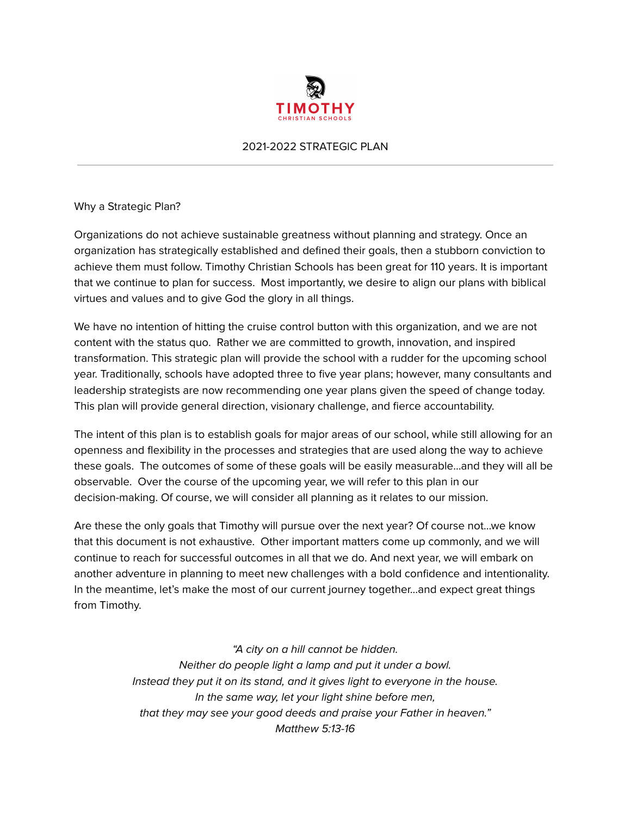

#### 2021-2022 STRATEGIC PLAN

Why a Strategic Plan?

Organizations do not achieve sustainable greatness without planning and strategy. Once an organization has strategically established and defined their goals, then a stubborn conviction to achieve them must follow. Timothy Christian Schools has been great for 110 years. It is important that we continue to plan for success. Most importantly, we desire to align our plans with biblical virtues and values and to give God the glory in all things.

We have no intention of hitting the cruise control button with this organization, and we are not content with the status quo. Rather we are committed to growth, innovation, and inspired transformation. This strategic plan will provide the school with a rudder for the upcoming school year. Traditionally, schools have adopted three to five year plans; however, many consultants and leadership strategists are now recommending one year plans given the speed of change today. This plan will provide general direction, visionary challenge, and fierce accountability.

The intent of this plan is to establish goals for major areas of our school, while still allowing for an openness and flexibility in the processes and strategies that are used along the way to achieve these goals. The outcomes of some of these goals will be easily measurable…and they will all be observable. Over the course of the upcoming year, we will refer to this plan in our decision-making. Of course, we will consider all planning as it relates to our mission.

Are these the only goals that Timothy will pursue over the next year? Of course not…we know that this document is not exhaustive. Other important matters come up commonly, and we will continue to reach for successful outcomes in all that we do. And next year, we will embark on another adventure in planning to meet new challenges with a bold confidence and intentionality. In the meantime, let's make the most of our current journey together…and expect great things from Timothy.

> "A city on a hill cannot be hidden. Neither do people light a lamp and put it under a bowl. Instead they put it on its stand, and it gives light to everyone in the house. In the same way, let your light shine before men, that they may see your good deeds and praise your Father in heaven." Matthew 5:13-16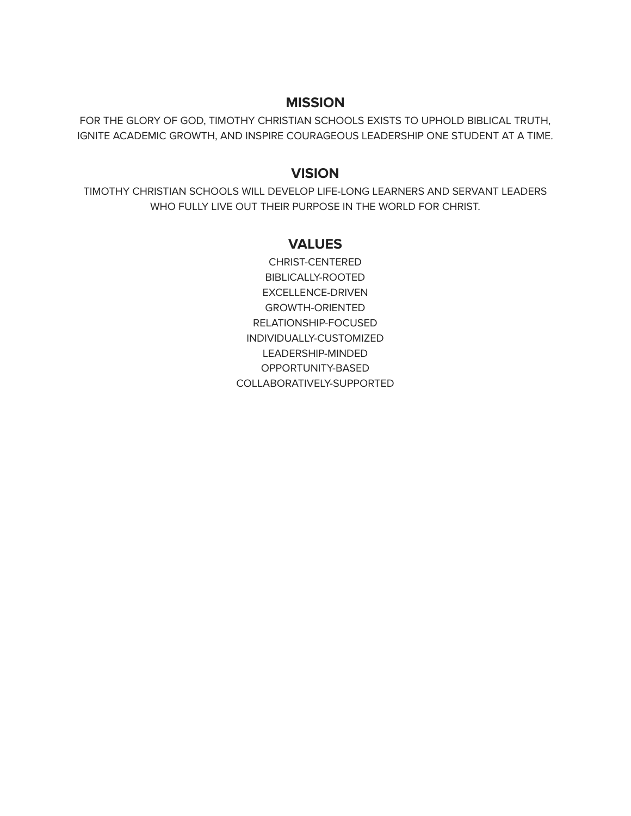#### **MISSION**

FOR THE GLORY OF GOD, TIMOTHY CHRISTIAN SCHOOLS EXISTS TO UPHOLD BIBLICAL TRUTH, IGNITE ACADEMIC GROWTH, AND INSPIRE COURAGEOUS LEADERSHIP ONE STUDENT AT A TIME.

#### **VISION**

TIMOTHY CHRISTIAN SCHOOLS WILL DEVELOP LIFE-LONG LEARNERS AND SERVANT LEADERS WHO FULLY LIVE OUT THEIR PURPOSE IN THE WORLD FOR CHRIST.

#### **VALUES**

CHRIST-CENTERED BIBLICALLY-ROOTED EXCELLENCE-DRIVEN GROWTH-ORIENTED RELATIONSHIP-FOCUSED INDIVIDUALLY-CUSTOMIZED LEADERSHIP-MINDED OPPORTUNITY-BASED COLLABORATIVELY-SUPPORTED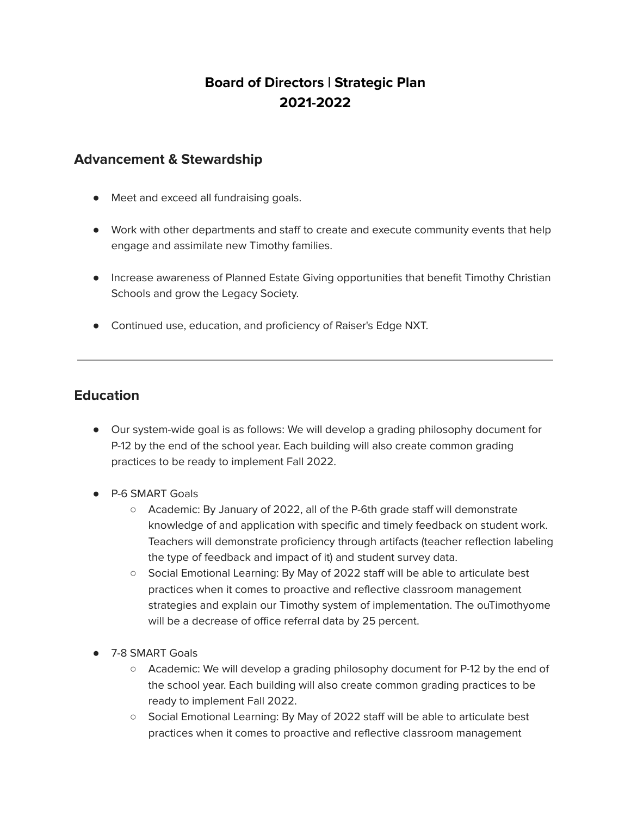# **Board of Directors | Strategic Plan 2021-2022**

#### **Advancement & Stewardship**

- Meet and exceed all fundraising goals.
- Work with other departments and staff to create and execute community events that help engage and assimilate new Timothy families.
- Increase awareness of Planned Estate Giving opportunities that benefit Timothy Christian Schools and grow the Legacy Society.
- Continued use, education, and proficiency of Raiser's Edge NXT.

## **Education**

- Our system-wide goal is as follows: We will develop a grading philosophy document for P-12 by the end of the school year. Each building will also create common grading practices to be ready to implement Fall 2022.
- P-6 SMART Goals
	- Academic: By January of 2022, all of the P-6th grade staff will demonstrate knowledge of and application with specific and timely feedback on student work. Teachers will demonstrate proficiency through artifacts (teacher reflection labeling the type of feedback and impact of it) and student survey data.
	- Social Emotional Learning: By May of 2022 staff will be able to articulate best practices when it comes to proactive and reflective classroom management strategies and explain our Timothy system of implementation. The ouTimothyome will be a decrease of office referral data by 25 percent.
- 7-8 SMART Goals
	- Academic: We will develop a grading philosophy document for P-12 by the end of the school year. Each building will also create common grading practices to be ready to implement Fall 2022.
	- Social Emotional Learning: By May of 2022 staff will be able to articulate best practices when it comes to proactive and reflective classroom management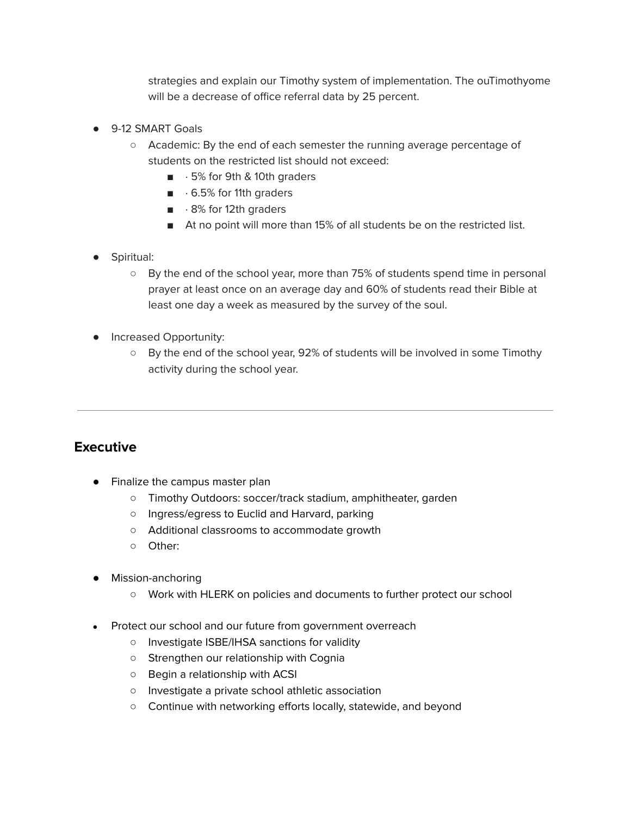strategies and explain our Timothy system of implementation. The ouTimothyome will be a decrease of office referral data by 25 percent.

- 9-12 SMART Goals
	- Academic: By the end of each semester the running average percentage of students on the restricted list should not exceed:
		- · 5% for 9th & 10th graders
		- $\blacksquare$   $\cdot$  6.5% for 11th graders
		- $\blacksquare$   $\cdot$  8% for 12th graders
		- At no point will more than 15% of all students be on the restricted list.
- Spiritual:
	- By the end of the school year, more than 75% of students spend time in personal prayer at least once on an average day and 60% of students read their Bible at least one day a week as measured by the survey of the soul.
- **•** Increased Opportunity:
	- By the end of the school year, 92% of students will be involved in some Timothy activity during the school year.

#### **Executive**

- Finalize the campus master plan
	- Timothy Outdoors: soccer/track stadium, amphitheater, garden
	- Ingress/egress to Euclid and Harvard, parking
	- Additional classrooms to accommodate growth
	- Other:
- Mission-anchoring
	- Work with HLERK on policies and documents to further protect our school
- Protect our school and our future from government overreach
	- Investigate ISBE/IHSA sanctions for validity
	- Strengthen our relationship with Cognia
	- Begin a relationship with ACSI
	- Investigate a private school athletic association
	- Continue with networking efforts locally, statewide, and beyond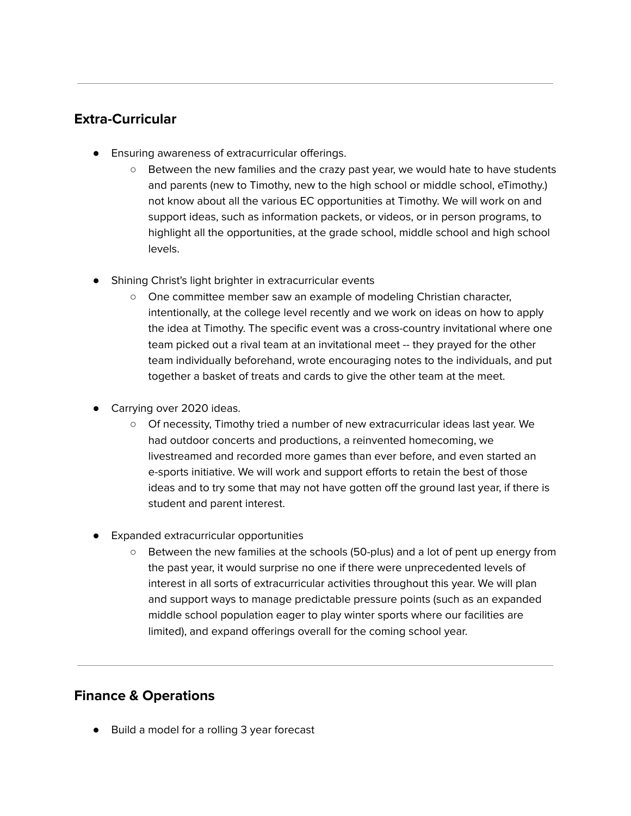## **Extra-Curricular**

- Ensuring awareness of extracurricular offerings.
	- Between the new families and the crazy past year, we would hate to have students and parents (new to Timothy, new to the high school or middle school, eTimothy.) not know about all the various EC opportunities at Timothy. We will work on and support ideas, such as information packets, or videos, or in person programs, to highlight all the opportunities, at the grade school, middle school and high school levels.
- Shining Christ's light brighter in extracurricular events
	- One committee member saw an example of modeling Christian character, intentionally, at the college level recently and we work on ideas on how to apply the idea at Timothy. The specific event was a cross-country invitational where one team picked out a rival team at an invitational meet -- they prayed for the other team individually beforehand, wrote encouraging notes to the individuals, and put together a basket of treats and cards to give the other team at the meet.
- Carrying over 2020 ideas.
	- Of necessity, Timothy tried a number of new extracurricular ideas last year. We had outdoor concerts and productions, a reinvented homecoming, we livestreamed and recorded more games than ever before, and even started an e-sports initiative. We will work and support efforts to retain the best of those ideas and to try some that may not have gotten off the ground last year, if there is student and parent interest.
- Expanded extracurricular opportunities
	- Between the new families at the schools (50-plus) and a lot of pent up energy from the past year, it would surprise no one if there were unprecedented levels of interest in all sorts of extracurricular activities throughout this year. We will plan and support ways to manage predictable pressure points (such as an expanded middle school population eager to play winter sports where our facilities are limited), and expand offerings overall for the coming school year.

## **Finance & Operations**

● Build a model for a rolling 3 year forecast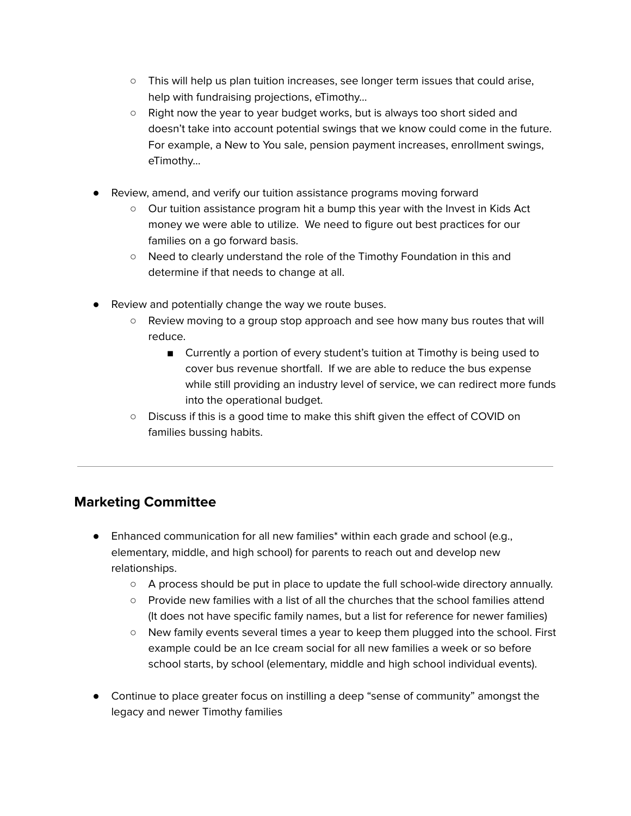- This will help us plan tuition increases, see longer term issues that could arise, help with fundraising projections, eTimothy…
- Right now the year to year budget works, but is always too short sided and doesn't take into account potential swings that we know could come in the future. For example, a New to You sale, pension payment increases, enrollment swings, eTimothy…
- Review, amend, and verify our tuition assistance programs moving forward
	- Our tuition assistance program hit a bump this year with the Invest in Kids Act money we were able to utilize. We need to figure out best practices for our families on a go forward basis.
	- Need to clearly understand the role of the Timothy Foundation in this and determine if that needs to change at all.
- Review and potentially change the way we route buses.
	- Review moving to a group stop approach and see how many bus routes that will reduce.
		- Currently a portion of every student's tuition at Timothy is being used to cover bus revenue shortfall. If we are able to reduce the bus expense while still providing an industry level of service, we can redirect more funds into the operational budget.
	- Discuss if this is a good time to make this shift given the effect of COVID on families bussing habits.

# **Marketing Committee**

- Enhanced communication for all new families\* within each grade and school (e.g., elementary, middle, and high school) for parents to reach out and develop new relationships.
	- A process should be put in place to update the full school-wide directory annually.
	- Provide new families with a list of all the churches that the school families attend (It does not have specific family names, but a list for reference for newer families)
	- New family events several times a year to keep them plugged into the school. First example could be an Ice cream social for all new families a week or so before school starts, by school (elementary, middle and high school individual events).
- Continue to place greater focus on instilling a deep "sense of community" amongst the legacy and newer Timothy families